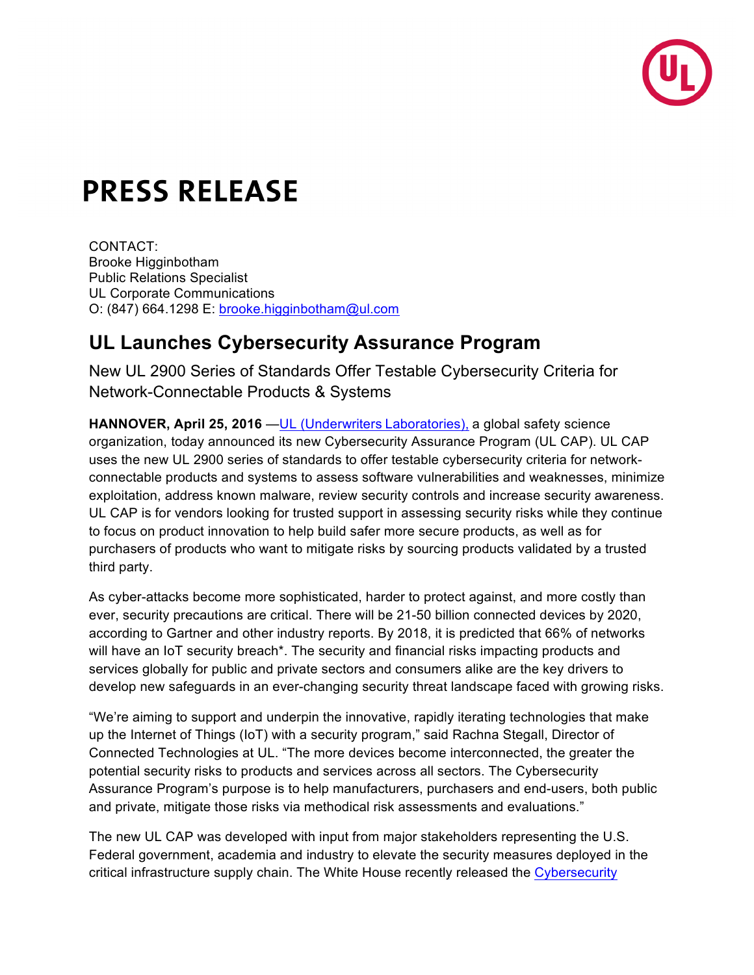

## **PRESS RELEASE**

CONTACT: Brooke Higginbotham Public Relations Specialist UL Corporate Communications O: (847) 664.1298 E: brooke.higginbotham@ul.com

## **UL Launches Cybersecurity Assurance Program**

New UL 2900 Series of Standards Offer Testable Cybersecurity Criteria for Network-Connectable Products & Systems

**HANNOVER, April 25, 2016** — UL (Underwriters Laboratories), a global safety science organization, today announced its new Cybersecurity Assurance Program (UL CAP). UL CAP uses the new UL 2900 series of standards to offer testable cybersecurity criteria for networkconnectable products and systems to assess software vulnerabilities and weaknesses, minimize exploitation, address known malware, review security controls and increase security awareness. UL CAP is for vendors looking for trusted support in assessing security risks while they continue to focus on product innovation to help build safer more secure products, as well as for purchasers of products who want to mitigate risks by sourcing products validated by a trusted third party.

As cyber-attacks become more sophisticated, harder to protect against, and more costly than ever, security precautions are critical. There will be 21-50 billion connected devices by 2020, according to Gartner and other industry reports. By 2018, it is predicted that 66% of networks will have an IoT security breach<sup>\*</sup>. The security and financial risks impacting products and services globally for public and private sectors and consumers alike are the key drivers to develop new safeguards in an ever-changing security threat landscape faced with growing risks.

"We're aiming to support and underpin the innovative, rapidly iterating technologies that make up the Internet of Things (IoT) with a security program," said Rachna Stegall, Director of Connected Technologies at UL. "The more devices become interconnected, the greater the potential security risks to products and services across all sectors. The Cybersecurity Assurance Program's purpose is to help manufacturers, purchasers and end-users, both public and private, mitigate those risks via methodical risk assessments and evaluations."

The new UL CAP was developed with input from major stakeholders representing the U.S. Federal government, academia and industry to elevate the security measures deployed in the critical infrastructure supply chain. The White House recently released the Cybersecurity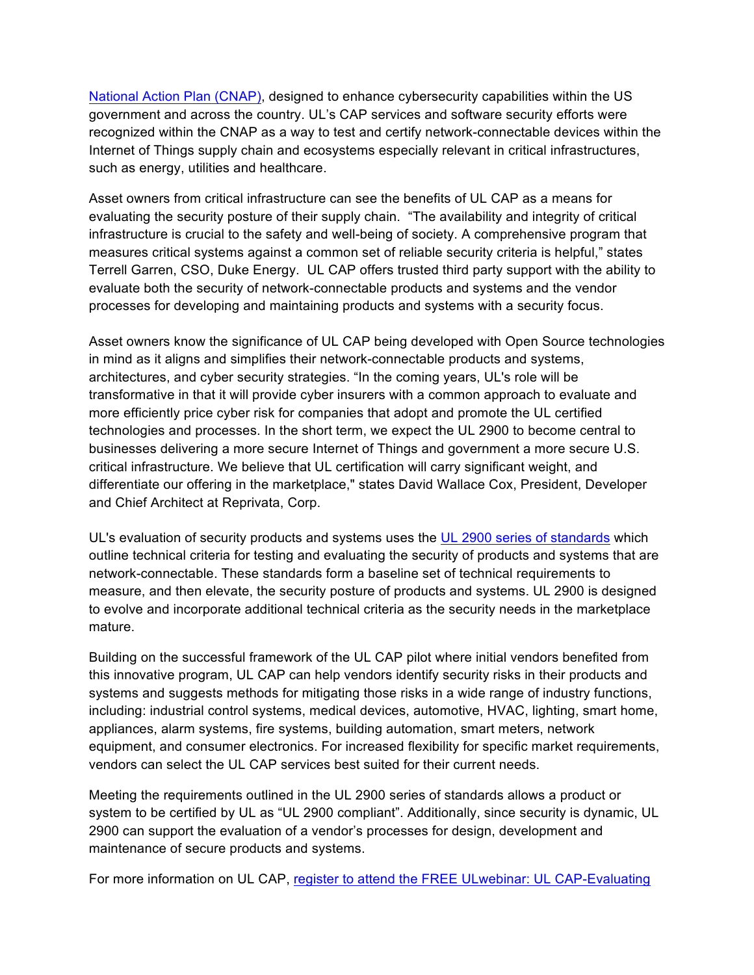National Action Plan (CNAP), designed to enhance cybersecurity capabilities within the US government and across the country. UL's CAP services and software security efforts were recognized within the CNAP as a way to test and certify network-connectable devices within the Internet of Things supply chain and ecosystems especially relevant in critical infrastructures, such as energy, utilities and healthcare.

Asset owners from critical infrastructure can see the benefits of UL CAP as a means for evaluating the security posture of their supply chain. "The availability and integrity of critical infrastructure is crucial to the safety and well-being of society. A comprehensive program that measures critical systems against a common set of reliable security criteria is helpful," states Terrell Garren, CSO, Duke Energy. UL CAP offers trusted third party support with the ability to evaluate both the security of network-connectable products and systems and the vendor processes for developing and maintaining products and systems with a security focus.

Asset owners know the significance of UL CAP being developed with Open Source technologies in mind as it aligns and simplifies their network-connectable products and systems, architectures, and cyber security strategies. "In the coming years, UL's role will be transformative in that it will provide cyber insurers with a common approach to evaluate and more efficiently price cyber risk for companies that adopt and promote the UL certified technologies and processes. In the short term, we expect the UL 2900 to become central to businesses delivering a more secure Internet of Things and government a more secure U.S. critical infrastructure. We believe that UL certification will carry significant weight, and differentiate our offering in the marketplace," states David Wallace Cox, President, Developer and Chief Architect at Reprivata, Corp.

UL's evaluation of security products and systems uses the UL 2900 series of standards which outline technical criteria for testing and evaluating the security of products and systems that are network-connectable. These standards form a baseline set of technical requirements to measure, and then elevate, the security posture of products and systems. UL 2900 is designed to evolve and incorporate additional technical criteria as the security needs in the marketplace mature.

Building on the successful framework of the UL CAP pilot where initial vendors benefited from this innovative program, UL CAP can help vendors identify security risks in their products and systems and suggests methods for mitigating those risks in a wide range of industry functions, including: industrial control systems, medical devices, automotive, HVAC, lighting, smart home, appliances, alarm systems, fire systems, building automation, smart meters, network equipment, and consumer electronics. For increased flexibility for specific market requirements, vendors can select the UL CAP services best suited for their current needs.

Meeting the requirements outlined in the UL 2900 series of standards allows a product or system to be certified by UL as "UL 2900 compliant". Additionally, since security is dynamic, UL 2900 can support the evaluation of a vendor's processes for design, development and maintenance of secure products and systems.

For more information on UL CAP, register to attend the FREE ULwebinar: UL CAP-Evaluating